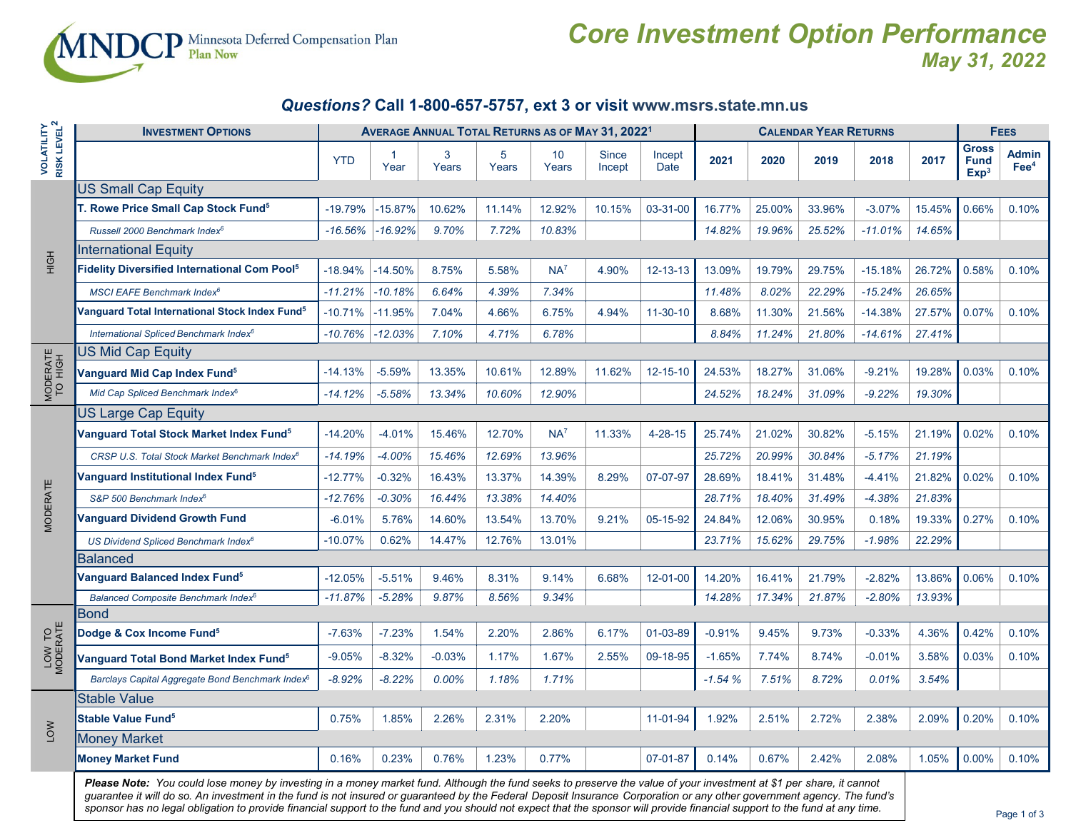

## *Core Investment Option Performance May 31, 2022*

## *Questions?* **Call 1-800-657-5757, ext 3 or visit www.msrs.state.mn.us**

|                                              | <b>INVESTMENT OPTIONS</b>                                                                                                                                                                                                                                                                                                                      | <b>AVERAGE ANNUAL TOTAL RETURNS AS OF MAY 31, 2022<sup>1</sup></b> |                        |            |            |             |                 |                | <b>CALENDAR YEAR RETURNS</b> |        |        |           |        | <b>FEES</b>                                     |                               |
|----------------------------------------------|------------------------------------------------------------------------------------------------------------------------------------------------------------------------------------------------------------------------------------------------------------------------------------------------------------------------------------------------|--------------------------------------------------------------------|------------------------|------------|------------|-------------|-----------------|----------------|------------------------------|--------|--------|-----------|--------|-------------------------------------------------|-------------------------------|
| <b>VOLATILITY</b><br>RISK LEVEL <sup>2</sup> |                                                                                                                                                                                                                                                                                                                                                | <b>YTD</b>                                                         | $\overline{1}$<br>Year | 3<br>Years | 5<br>Years | 10<br>Years | Since<br>Incept | Incept<br>Date | 2021                         | 2020   | 2019   | 2018      | 2017   | <b>Gross</b><br><b>Fund</b><br>Exp <sup>3</sup> | <b>Admin</b><br>$\text{Fe}^4$ |
|                                              | <b>US Small Cap Equity</b>                                                                                                                                                                                                                                                                                                                     |                                                                    |                        |            |            |             |                 |                |                              |        |        |           |        |                                                 |                               |
|                                              | <b>F. Rowe Price Small Cap Stock Fund<sup>5</sup></b>                                                                                                                                                                                                                                                                                          | $-19.79%$                                                          | $-15.87%$              | 10.62%     | 11.14%     | 12.92%      | 10.15%          | 03-31-00       | 16.77%                       | 25.00% | 33.96% | $-3.07%$  | 15.45% | 0.66%                                           | 0.10%                         |
|                                              | Russell 2000 Benchmark Index <sup>6</sup>                                                                                                                                                                                                                                                                                                      | $-16.56%$                                                          | $-16.92%$              | 9.70%      | 7.72%      | 10.83%      |                 |                | 14.82%                       | 19.96% | 25.52% | $-11.01%$ | 14.65% |                                                 |                               |
| HộH                                          | <b>International Equity</b>                                                                                                                                                                                                                                                                                                                    |                                                                    |                        |            |            |             |                 |                |                              |        |        |           |        |                                                 |                               |
|                                              | <b>Fidelity Diversified International Com Pool</b> <sup>5</sup>                                                                                                                                                                                                                                                                                | $-18.94%$                                                          | $-14.50%$              | 8.75%      | 5.58%      | $NA^7$      | 4.90%           | 12-13-13       | 13.09%                       | 19.79% | 29.75% | $-15.18%$ | 26.72% | 0.58%                                           | 0.10%                         |
|                                              | <b>MSCI EAFE Benchmark Index<sup>6</sup></b>                                                                                                                                                                                                                                                                                                   | $-11.21%$                                                          | $-10.18%$              | 6.64%      | 4.39%      | 7.34%       |                 |                | 11.48%                       | 8.02%  | 22.29% | $-15.24%$ | 26.65% |                                                 |                               |
|                                              | Vanguard Total International Stock Index Fund <sup>5</sup>                                                                                                                                                                                                                                                                                     | $-10.71%$                                                          | $-11.95%$              | 7.04%      | 4.66%      | 6.75%       | 4.94%           | 11-30-10       | 8.68%                        | 11.30% | 21.56% | $-14.38%$ | 27.57% | 0.07%                                           | 0.10%                         |
|                                              | International Spliced Benchmark Index <sup>6</sup>                                                                                                                                                                                                                                                                                             | -10.76%                                                            | $-12.03%$              | 7.10%      | 4.71%      | 6.78%       |                 |                | 8.84%                        | 11.24% | 21.80% | $-14.61%$ | 27.41% |                                                 |                               |
|                                              | US Mid Cap Equity                                                                                                                                                                                                                                                                                                                              |                                                                    |                        |            |            |             |                 |                |                              |        |        |           |        |                                                 |                               |
| MODERATE<br>TO HIGH                          | Vanguard Mid Cap Index Fund <sup>5</sup>                                                                                                                                                                                                                                                                                                       | $-14.13%$                                                          | $-5.59%$               | 13.35%     | 10.61%     | 12.89%      | 11.62%          | 12-15-10       | 24.53%                       | 18.27% | 31.06% | $-9.21%$  | 19.28% | 0.03%                                           | 0.10%                         |
|                                              | Mid Cap Spliced Benchmark Index <sup>6</sup>                                                                                                                                                                                                                                                                                                   | $-14.12%$                                                          | $-5.58%$               | 13.34%     | 10.60%     | 12.90%      |                 |                | 24.52%                       | 18.24% | 31.09% | $-9.22%$  | 19.30% |                                                 |                               |
|                                              | US Large Cap Equity                                                                                                                                                                                                                                                                                                                            |                                                                    |                        |            |            |             |                 |                |                              |        |        |           |        |                                                 |                               |
|                                              | Janguard Total Stock Market Index Fund <sup>5</sup>                                                                                                                                                                                                                                                                                            | $-14.20%$                                                          | $-4.01%$               | 15.46%     | 12.70%     | $NA^7$      | 11.33%          | $4 - 28 - 15$  | 25.74%                       | 21.02% | 30.82% | $-5.15%$  | 21.19% | 0.02%                                           | 0.10%                         |
|                                              | CRSP U.S. Total Stock Market Benchmark Index <sup>6</sup>                                                                                                                                                                                                                                                                                      | $-14.19%$                                                          | $-4.00%$               | 15.46%     | 12.69%     | 13.96%      |                 |                | 25.72%                       | 20.99% | 30.84% | $-5.17%$  | 21.19% |                                                 |                               |
|                                              | Vanguard Institutional Index Fund <sup>5</sup>                                                                                                                                                                                                                                                                                                 | $-12.77%$                                                          | $-0.32%$               | 16.43%     | 13.37%     | 14.39%      | 8.29%           | 07-07-97       | 28.69%                       | 18.41% | 31.48% | $-4.41%$  | 21.82% | 0.02%                                           | 0.10%                         |
| <b>MODERATE</b>                              | S&P 500 Benchmark Index <sup>6</sup>                                                                                                                                                                                                                                                                                                           | $-12.76%$                                                          | $-0.30%$               | 16.44%     | 13.38%     | 14.40%      |                 |                | 28.71%                       | 18.40% | 31.49% | $-4.38%$  | 21.83% |                                                 |                               |
|                                              | <b>Vanguard Dividend Growth Fund</b>                                                                                                                                                                                                                                                                                                           | $-6.01%$                                                           | 5.76%                  | 14.60%     | 13.54%     | 13.70%      | 9.21%           | 05-15-92       | 24.84%                       | 12.06% | 30.95% | 0.18%     | 19.33% | 0.27%                                           | 0.10%                         |
|                                              | US Dividend Spliced Benchmark Index <sup>6</sup>                                                                                                                                                                                                                                                                                               | $-10.07\%$                                                         | 0.62%                  | 14.47%     | 12.76%     | 13.01%      |                 |                | 23.71%                       | 15.62% | 29.75% | $-1.98%$  | 22.29% |                                                 |                               |
|                                              | Balanced                                                                                                                                                                                                                                                                                                                                       |                                                                    |                        |            |            |             |                 |                |                              |        |        |           |        |                                                 |                               |
|                                              | Vanguard Balanced Index Fund <sup>5</sup>                                                                                                                                                                                                                                                                                                      | $-12.05%$                                                          | $-5.51%$               | 9.46%      | 8.31%      | 9.14%       | 6.68%           | 12-01-00       | 14.20%                       | 16.41% | 21.79% | $-2.82%$  | 13.86% | 0.06%                                           | 0.10%                         |
|                                              | Balanced Composite Benchmark Index <sup>6</sup>                                                                                                                                                                                                                                                                                                | $-11.87%$                                                          | $-5.28%$               | 9.87%      | 8.56%      | 9.34%       |                 |                | 14.28%                       | 17.34% | 21.87% | $-2.80%$  | 13.93% |                                                 |                               |
| LOW TO<br>MODERATE                           | Bond                                                                                                                                                                                                                                                                                                                                           |                                                                    |                        |            |            |             |                 |                |                              |        |        |           |        |                                                 |                               |
|                                              | Dodge & Cox Income Fund <sup>5</sup>                                                                                                                                                                                                                                                                                                           | $-7.63%$                                                           | $-7.23%$               | 1.54%      | 2.20%      | 2.86%       | 6.17%           | 01-03-89       | $-0.91%$                     | 9.45%  | 9.73%  | $-0.33%$  | 4.36%  | 0.42%                                           | 0.10%                         |
|                                              | Vanguard Total Bond Market Index Fund <sup>5</sup>                                                                                                                                                                                                                                                                                             | $-9.05%$                                                           | $-8.32%$               | $-0.03%$   | 1.17%      | 1.67%       | 2.55%           | 09-18-95       | $-1.65%$                     | 7.74%  | 8.74%  | $-0.01%$  | 3.58%  | 0.03%                                           | 0.10%                         |
|                                              | Barclays Capital Aggregate Bond Benchmark Index <sup>6</sup>                                                                                                                                                                                                                                                                                   | $-8.92%$                                                           | $-8.22%$               | 0.00%      | 1.18%      | 1.71%       |                 |                | $-1.54%$                     | 7.51%  | 8.72%  | 0.01%     | 3.54%  |                                                 |                               |
| LOW                                          | <b>Stable Value</b>                                                                                                                                                                                                                                                                                                                            |                                                                    |                        |            |            |             |                 |                |                              |        |        |           |        |                                                 |                               |
|                                              | <b>Stable Value Fund<sup>5</sup></b>                                                                                                                                                                                                                                                                                                           | 0.75%                                                              | 1.85%                  | 2.26%      | 2.31%      | 2.20%       |                 | 11-01-94       | 1.92%                        | 2.51%  | 2.72%  | 2.38%     | 2.09%  | 0.20%                                           | 0.10%                         |
|                                              | <b>Money Market</b>                                                                                                                                                                                                                                                                                                                            |                                                                    |                        |            |            |             |                 |                |                              |        |        |           |        |                                                 |                               |
|                                              | <b>Money Market Fund</b>                                                                                                                                                                                                                                                                                                                       | 0.16%                                                              | 0.23%                  | 0.76%      | 1.23%      | 0.77%       |                 | 07-01-87       | 0.14%                        | 0.67%  | 2.42%  | 2.08%     | 1.05%  | 0.00%                                           | 0.10%                         |
|                                              | Please Note: You could lose money by investing in a money market fund. Although the fund seeks to preserve the value of your investment at \$1 per share, it cannot<br>guarantee it will do so. An investment in the fund is not insured or guaranteed by the Federal Deposit Insurance Corporation or any other government agency. The fund's |                                                                    |                        |            |            |             |                 |                |                              |        |        |           |        |                                                 |                               |

*sponsor has no legal obligation to provide financial support to the fund and you should not expect that the sponsor will provide financial support to the fund at any time.*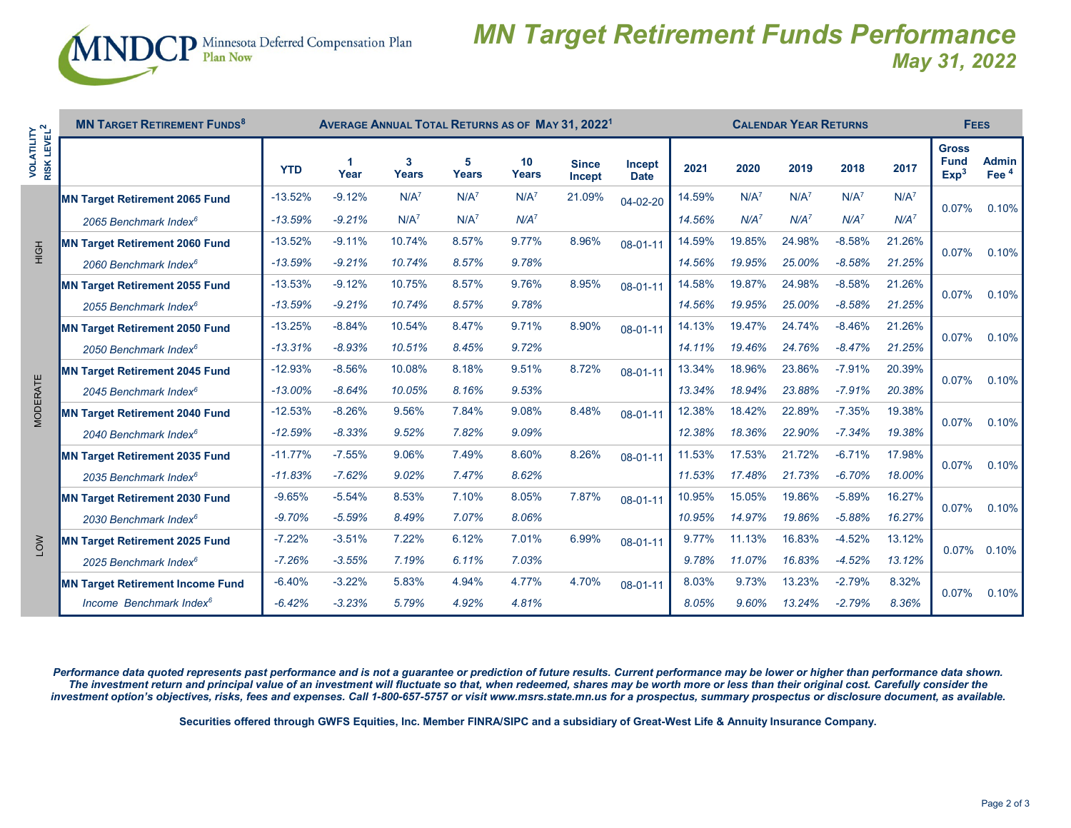

## *MN Target Retirement Funds Performance May 31, 2022*

| $\sim$ $\sim$                 | <b>MN TARGET RETIREMENT FUNDS<sup>8</sup></b> |            |          | AVERAGE ANNUAL TOTAL RETURNS AS OF MAY 31, 2022 <sup>1</sup> |                   | <b>CALENDAR YEAR RETURNS</b> |                        |                       |        |                  |         | <b>FEES</b>      |         |                                                 |                                  |
|-------------------------------|-----------------------------------------------|------------|----------|--------------------------------------------------------------|-------------------|------------------------------|------------------------|-----------------------|--------|------------------|---------|------------------|---------|-------------------------------------------------|----------------------------------|
| <b>RISK LEVEL</b><br>OLATILIT |                                               | <b>YTD</b> | Year     | 3<br><b>Years</b>                                            | 5<br><b>Years</b> | 10<br><b>Years</b>           | <b>Since</b><br>Incept | Incept<br><b>Date</b> | 2021   | 2020             | 2019    | 2018             | 2017    | <b>Gross</b><br><b>Fund</b><br>Exp <sup>3</sup> | <b>Admin</b><br>Fee <sup>4</sup> |
| HIGH                          | <b>MN Target Retirement 2065 Fund</b>         | $-13.52%$  | $-9.12%$ | $N/A^7$                                                      | $N/A^7$           | $N/A^7$                      | 21.09%                 | 04-02-20              | 14.59% | N/A <sup>7</sup> | $N/A^7$ | N/A <sup>7</sup> | $N/A^7$ | 0.07%                                           | 0.10%                            |
|                               | 2065 Benchmark Index <sup>6</sup>             | $-13.59%$  | $-9.21%$ | $N/A^7$                                                      | $N/A^7$           | $N/A^7$                      |                        |                       | 14.56% | $N/A^7$          | $N/A^7$ | $N/A^7$          | $N/A^7$ |                                                 |                                  |
|                               | <b>MN Target Retirement 2060 Fund</b>         | $-13.52%$  | $-9.11%$ | 10.74%                                                       | 8.57%             | 9.77%                        | 8.96%                  | 08-01-11              | 14.59% | 19.85%           | 24.98%  | $-8.58%$         | 21.26%  | 0.07%                                           | 0.10%                            |
|                               | 2060 Benchmark Index <sup>6</sup>             | $-13.59%$  | $-9.21%$ | 10.74%                                                       | 8.57%             | 9.78%                        |                        |                       | 14.56% | 19.95%           | 25.00%  | $-8.58%$         | 21.25%  |                                                 |                                  |
|                               | <b>MN Target Retirement 2055 Fund</b>         | $-13.53%$  | $-9.12%$ | 10.75%                                                       | 8.57%             | 9.76%                        | 8.95%                  | 08-01-11              | 14.58% | 19.87%           | 24.98%  | $-8.58%$         | 21.26%  | 0.07%                                           | 0.10%                            |
|                               | 2055 Benchmark Index <sup>6</sup>             | $-13.59%$  | $-9.21%$ | 10.74%                                                       | 8.57%             | 9.78%                        |                        |                       | 14.56% | 19.95%           | 25.00%  | $-8.58%$         | 21.25%  |                                                 |                                  |
| MODERATE                      | <b>MN Target Retirement 2050 Fund</b>         | $-13.25%$  | $-8.84%$ | 10.54%                                                       | 8.47%             | 9.71%                        | 8.90%                  | 08-01-11              | 14.13% | 19.47%           | 24.74%  | $-8.46%$         | 21.26%  | 0.07%                                           | 0.10%                            |
|                               | 2050 Benchmark Index <sup>6</sup>             | $-13.31%$  | $-8.93%$ | 10.51%                                                       | 8.45%             | 9.72%                        |                        |                       | 14.11% | 19.46%           | 24.76%  | $-8.47%$         | 21.25%  |                                                 |                                  |
|                               | <b>MN Target Retirement 2045 Fund</b>         | $-12.93%$  | $-8.56%$ | 10.08%                                                       | 8.18%             | 9.51%                        | 8.72%                  | 08-01-11              | 13.34% | 18.96%           | 23.86%  | $-7.91%$         | 20.39%  | 0.07%                                           | 0.10%                            |
|                               | 2045 Benchmark Index <sup>6</sup>             | $-13.00%$  | $-8.64%$ | 10.05%                                                       | 8.16%             | 9.53%                        |                        |                       | 13.34% | 18.94%           | 23.88%  | $-7.91%$         | 20.38%  |                                                 |                                  |
|                               | <b>MN Target Retirement 2040 Fund</b>         | $-12.53%$  | $-8.26%$ | 9.56%                                                        | 7.84%             | 9.08%                        | 8.48%                  | 08-01-11              | 12.38% | 18.42%           | 22.89%  | $-7.35%$         | 19.38%  | 0.07%                                           | 0.10%                            |
|                               | 2040 Benchmark Index <sup>6</sup>             | $-12.59%$  | $-8.33%$ | 9.52%                                                        | 7.82%             | 9.09%                        |                        |                       | 12.38% | 18.36%           | 22.90%  | $-7.34%$         | 19.38%  |                                                 |                                  |
|                               | <b>MN Target Retirement 2035 Fund</b>         | $-11.77%$  | $-7.55%$ | 9.06%                                                        | 7.49%             | 8.60%                        | 8.26%                  | 08-01-11              | 11.53% | 17.53%           | 21.72%  | $-6.71%$         | 17.98%  | 0.07%                                           | 0.10%                            |
|                               | 2035 Benchmark Index <sup>6</sup>             | $-11.83%$  | $-7.62%$ | 9.02%                                                        | 7.47%             | 8.62%                        |                        |                       | 11.53% | 17.48%           | 21.73%  | $-6.70%$         | 18.00%  |                                                 |                                  |
|                               | <b>MN Target Retirement 2030 Fund</b>         | $-9.65%$   | $-5.54%$ | 8.53%                                                        | 7.10%             | 8.05%                        | 7.87%                  | 08-01-11              | 10.95% | 15.05%           | 19.86%  | $-5.89%$         | 16.27%  | 0.07%                                           | 0.10%                            |
| $\sum_{i=1}^{n}$              | 2030 Benchmark Index <sup>6</sup>             | $-9.70%$   | $-5.59%$ | 8.49%                                                        | 7.07%             | 8.06%                        |                        |                       | 10.95% | 14.97%           | 19.86%  | $-5.88%$         | 16.27%  |                                                 |                                  |
|                               | <b>MN Target Retirement 2025 Fund</b>         | $-7.22%$   | $-3.51%$ | 7.22%                                                        | 6.12%             | 7.01%                        | 6.99%                  | 08-01-11              | 9.77%  | 11.13%           | 16.83%  | $-4.52%$         | 13.12%  | $0.07\%$                                        | 0.10%                            |
|                               | 2025 Benchmark Index <sup>6</sup>             | $-7.26%$   | $-3.55%$ | 7.19%                                                        | 6.11%             | 7.03%                        |                        |                       | 9.78%  | 11.07%           | 16.83%  | $-4.52%$         | 13.12%  |                                                 |                                  |
|                               | <b>MN Target Retirement Income Fund</b>       | $-6.40%$   | $-3.22%$ | 5.83%                                                        | 4.94%             | 4.77%                        | 4.70%                  | 08-01-11              | 8.03%  | 9.73%            | 13.23%  | $-2.79%$         | 8.32%   | 0.07%                                           | 0.10%                            |
|                               | Income Benchmark Index <sup>6</sup>           | $-6.42%$   | $-3.23%$ | 5.79%                                                        | 4.92%             | 4.81%                        |                        |                       | 8.05%  | 9.60%            | 13.24%  | $-2.79%$         | 8.36%   |                                                 |                                  |

*Performance data quoted represents past performance and is not a guarantee or prediction of future results. Current performance may be lower or higher than performance data shown. The investment return and principal value of an investment will fluctuate so that, when redeemed, shares may be worth more or less than their original cost. Carefully consider the investment option's objectives, risks, fees and expenses. Call 1-800-657-5757 or visit www.msrs.state.mn.us for a prospectus, summary prospectus or disclosure document, as available.*

**Securities offered through GWFS Equities, Inc. Member FINRA/SIPC and a subsidiary of Great-West Life & Annuity Insurance Company.**